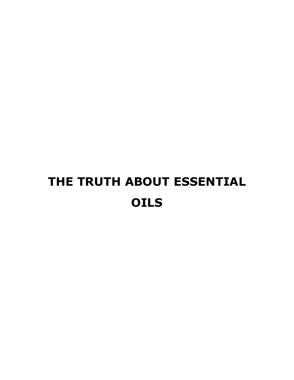# **THE TRUTH ABOUT ESSENTIAL OILS**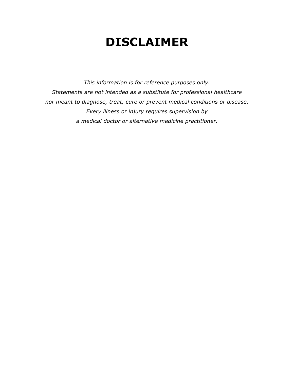## **DISCLAIMER**

*This information is for reference purposes only. Statements are not intended as a substitute for professional healthcare nor meant to diagnose, treat, cure or prevent medical conditions or disease. Every illness or injury requires supervision by a medical doctor or alternative medicine practitioner.*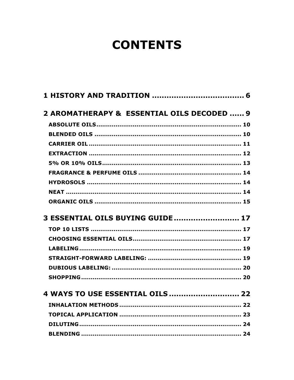## **CONTENTS**

| 2 AROMATHERAPY & ESSENTIAL OILS DECODED  9 |  |
|--------------------------------------------|--|
|                                            |  |
|                                            |  |
|                                            |  |
|                                            |  |
|                                            |  |
|                                            |  |
|                                            |  |
|                                            |  |
|                                            |  |
| 3 ESSENTIAL OILS BUYING GUIDE  17          |  |
|                                            |  |
|                                            |  |
|                                            |  |
|                                            |  |
|                                            |  |
|                                            |  |
| 4 WAYS TO USE ESSENTIAL OILS  22           |  |
|                                            |  |
|                                            |  |
|                                            |  |
|                                            |  |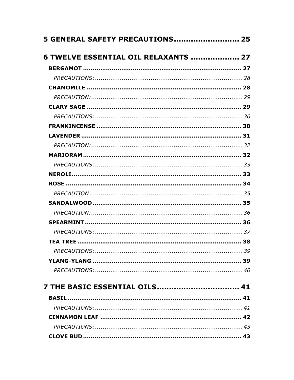| 5 GENERAL SAFETY PRECAUTIONS 25      |  |
|--------------------------------------|--|
| 6 TWELVE ESSENTIAL OIL RELAXANTS  27 |  |
|                                      |  |
|                                      |  |
|                                      |  |
|                                      |  |
|                                      |  |
|                                      |  |
|                                      |  |
|                                      |  |
|                                      |  |
|                                      |  |
|                                      |  |
|                                      |  |
|                                      |  |
|                                      |  |
|                                      |  |
|                                      |  |
|                                      |  |
|                                      |  |
|                                      |  |
|                                      |  |
|                                      |  |
|                                      |  |
| 7 THE BASIC ESSENTIAL OILS 41        |  |
|                                      |  |
|                                      |  |
|                                      |  |
|                                      |  |
|                                      |  |
|                                      |  |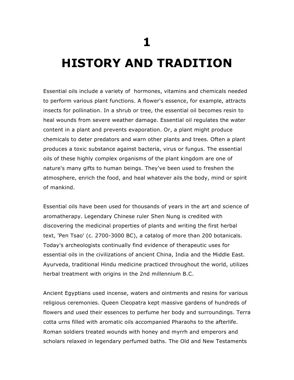**1**

## **HISTORY AND TRADITION**

Essential oils include a variety of hormones, vitamins and chemicals needed to perform various plant functions. A flower's essence, for example, attracts insects for pollination. In a shrub or tree, the essential oil becomes resin to heal wounds from severe weather damage. Essential oil regulates the water content in a plant and prevents evaporation. Or, a plant might produce chemicals to deter predators and warn other plants and trees. Often a plant produces a toxic substance against bacteria, virus or fungus. The essential oils of these highly complex organisms of the plant kingdom are one of nature's many gifts to human beings. They've been used to freshen the atmosphere, enrich the food, and heal whatever ails the body, mind or spirit of mankind.

Essential oils have been used for thousands of years in the art and science of aromatherapy. Legendary Chinese ruler Shen Nung is credited with discovering the medicinal properties of plants and writing the first herbal text, 'Pen Tsao' (c. 2700-3000 BC), a catalog of more than 200 botanicals. Today's archeologists continually find evidence of therapeutic uses for essential oils in the civilizations of ancient China, India and the Middle East. Ayurveda, traditional Hindu medicine practiced throughout the world, utilizes herbal treatment with origins in the 2nd millennium B.C.

Ancient Egyptians used incense, waters and ointments and resins for various religious ceremonies. Queen Cleopatra kept massive gardens of hundreds of flowers and used their essences to perfume her body and surroundings. Terra cotta urns filled with aromatic oils accompanied Pharaohs to the afterlife. Roman soldiers treated wounds with honey and myrrh and emperors and scholars relaxed in legendary perfumed baths. The Old and New Testaments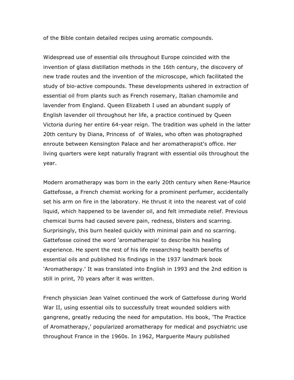of the Bible contain detailed recipes using aromatic compounds.

Widespread use of essential oils throughout Europe coincided with the invention of glass distillation methods in the 16th century, the discovery of new trade routes and the invention of the microscope, which facilitated the study of bio-active compounds. These developments ushered in extraction of essential oil from plants such as French rosemary, Italian chamomile and lavender from England. Queen Elizabeth I used an abundant supply of English lavender oil throughout her life, a practice continued by Queen Victoria during her entire 64-year reign. The tradition was upheld in the latter 20th century by Diana, Princess of of Wales, who often was photographed enroute between Kensington Palace and her aromatherapist's office. Her living quarters were kept naturally fragrant with essential oils throughout the year.

Modern aromatherapy was born in the early 20th century when Rene-Maurice Gattefosse, a French chemist working for a prominent perfumer, accidentally set his arm on fire in the laboratory. He thrust it into the nearest vat of cold liquid, which happened to be lavender oil, and felt immediate relief. Previous chemical burns had caused severe pain, redness, blisters and scarring. Surprisingly, this burn healed quickly with minimal pain and no scarring. Gattefosse coined the word 'aromatherapie' to describe his healing experience. He spent the rest of his life researching health benefits of essential oils and published his findings in the 1937 landmark book 'Aromatherapy.' It was translated into English in 1993 and the 2nd edition is still in print, 70 years after it was written.

French physician Jean Valnet continued the work of Gattefosse during World War II, using essential oils to successfully treat wounded soldiers with gangrene, greatly reducing the need for amputation. His book, 'The Practice of Aromatherapy,' popularized aromatherapy for medical and psychiatric use throughout France in the 1960s. In 1962, Marguerite Maury published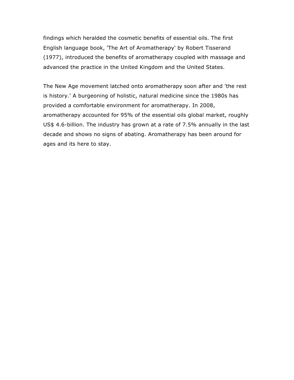findings which heralded the cosmetic benefits of essential oils. The first English language book, 'The Art of Aromatherapy' by Robert Tisserand (1977), introduced the benefits of aromatherapy coupled with massage and advanced the practice in the United Kingdom and the United States.

The New Age movement latched onto aromatherapy soon after and 'the rest is history.' A burgeoning of holistic, natural medicine since the 1980s has provided a comfortable environment for aromatherapy. In 2008, aromatherapy accounted for 95% of the essential oils global market, roughly US\$ 4.6-billion. The industry has grown at a rate of 7.5% annually in the last decade and shows no signs of abating. Aromatherapy has been around for ages and its here to stay.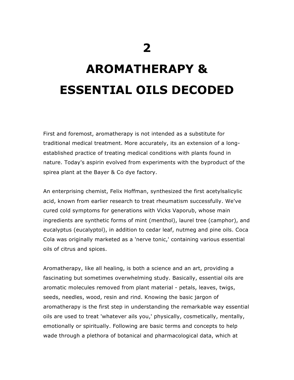# **AROMATHERAPY & ESSENTIAL OILS DECODED**

First and foremost, aromatherapy is not intended as a substitute for traditional medical treatment. More accurately, its an extension of a longestablished practice of treating medical conditions with plants found in nature. Today's aspirin evolved from experiments with the byproduct of the spirea plant at the Bayer & Co dye factory.

An enterprising chemist, Felix Hoffman, synthesized the first acetylsalicylic acid, known from earlier research to treat rheumatism successfully. We've cured cold symptoms for generations with Vicks Vaporub, whose main ingredients are synthetic forms of mint (menthol), laurel tree (camphor), and eucalyptus (eucalyptol), in addition to cedar leaf, nutmeg and pine oils. Coca Cola was originally marketed as a 'nerve tonic,' containing various essential oils of citrus and spices.

Aromatherapy, like all healing, is both a science and an art, providing a fascinating but sometimes overwhelming study. Basically, essential oils are aromatic molecules removed from plant material - petals, leaves, twigs, seeds, needles, wood, resin and rind. Knowing the basic jargon of aromatherapy is the first step in understanding the remarkable way essential oils are used to treat 'whatever ails you,' physically, cosmetically, mentally, emotionally or spiritually. Following are basic terms and concepts to help wade through a plethora of botanical and pharmacological data, which at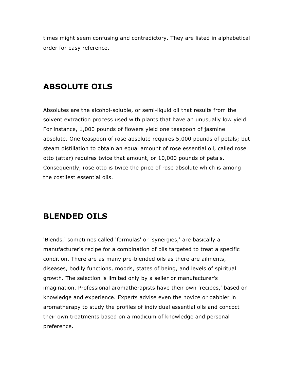times might seem confusing and contradictory. They are listed in alphabetical order for easy reference.

## **ABSOLUTE OILS**

Absolutes are the alcohol-soluble, or semi-liquid oil that results from the solvent extraction process used with plants that have an unusually low yield. For instance, 1,000 pounds of flowers yield one teaspoon of jasmine absolute. One teaspoon of rose absolute requires 5,000 pounds of petals; but steam distillation to obtain an equal amount of rose essential oil, called rose otto (attar) requires twice that amount, or 10,000 pounds of petals. Consequently, rose otto is twice the price of rose absolute which is among the costliest essential oils.

## **BLENDED OILS**

'Blends,' sometimes called 'formulas' or 'synergies,' are basically a manufacturer's recipe for a combination of oils targeted to treat a specific condition. There are as many pre-blended oils as there are ailments, diseases, bodily functions, moods, states of being, and levels of spiritual growth. The selection is limited only by a seller or manufacturer's imagination. Professional aromatherapists have their own 'recipes,' based on knowledge and experience. Experts advise even the novice or dabbler in aromatherapy to study the profiles of individual essential oils and concoct their own treatments based on a modicum of knowledge and personal preference.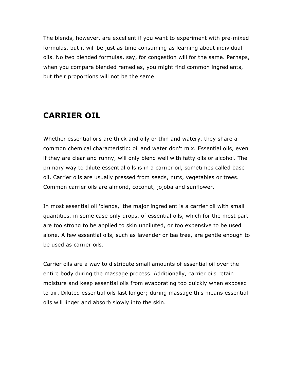The blends, however, are excellent if you want to experiment with pre-mixed formulas, but it will be just as time consuming as learning about individual oils. No two blended formulas, say, for congestion will for the same. Perhaps, when you compare blended remedies, you might find common ingredients, but their proportions will not be the same.

## **CARRIER OIL**

Whether essential oils are thick and oily or thin and watery, they share a common chemical characteristic: oil and water don't mix. Essential oils, even if they are clear and runny, will only blend well with fatty oils or alcohol. The primary way to dilute essential oils is in a carrier oil, sometimes called base oil. Carrier oils are usually pressed from seeds, nuts, vegetables or trees. Common carrier oils are almond, coconut, jojoba and sunflower.

In most essential oil 'blends,' the major ingredient is a carrier oil with small quantities, in some case only drops, of essential oils, which for the most part are too strong to be applied to skin undiluted, or too expensive to be used alone. A few essential oils, such as lavender or tea tree, are gentle enough to be used as carrier oils.

Carrier oils are a way to distribute small amounts of essential oil over the entire body during the massage process. Additionally, carrier oils retain moisture and keep essential oils from evaporating too quickly when exposed to air. Diluted essential oils last longer; during massage this means essential oils will linger and absorb slowly into the skin.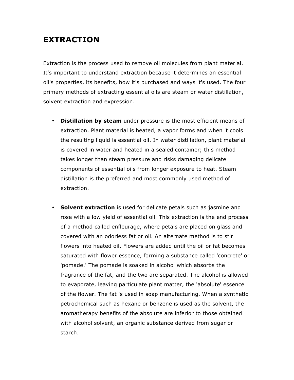## **EXTRACTION**

Extraction is the process used to remove oil molecules from plant material. It's important to understand extraction because it determines an essential oil's properties, its benefits, how it's purchased and ways it's used. The four primary methods of extracting essential oils are steam or water distillation, solvent extraction and expression.

- **Distillation by steam** under pressure is the most efficient means of extraction. Plant material is heated, a vapor forms and when it cools the resulting liquid is essential oil. In water distillation, plant material is covered in water and heated in a sealed container; this method takes longer than steam pressure and risks damaging delicate components of essential oils from longer exposure to heat. Steam distillation is the preferred and most commonly used method of extraction.
- **Solvent extraction** is used for delicate petals such as jasmine and rose with a low yield of essential oil. This extraction is the end process of a method called enfleurage, where petals are placed on glass and covered with an odorless fat or oil. An alternate method is to stir flowers into heated oil. Flowers are added until the oil or fat becomes saturated with flower essence, forming a substance called 'concrete' or 'pomade.' The pomade is soaked in alcohol which absorbs the fragrance of the fat, and the two are separated. The alcohol is allowed to evaporate, leaving particulate plant matter, the 'absolute' essence of the flower. The fat is used in soap manufacturing. When a synthetic petrochemical such as hexane or benzene is used as the solvent, the aromatherapy benefits of the absolute are inferior to those obtained with alcohol solvent, an organic substance derived from sugar or starch.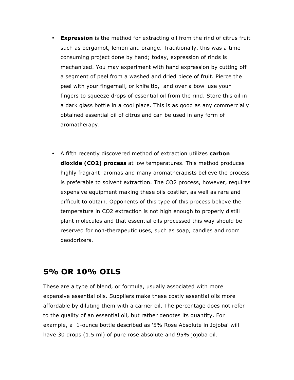- **Expression** is the method for extracting oil from the rind of citrus fruit such as bergamot, lemon and orange. Traditionally, this was a time consuming project done by hand; today, expression of rinds is mechanized. You may experiment with hand expression by cutting off a segment of peel from a washed and dried piece of fruit. Pierce the peel with your fingernail, or knife tip, and over a bowl use your fingers to squeeze drops of essential oil from the rind. Store this oil in a dark glass bottle in a cool place. This is as good as any commercially obtained essential oil of citrus and can be used in any form of aromatherapy.
- A fifth recently discovered method of extraction utilizes **carbon dioxide (CO2) process** at low temperatures. This method produces highly fragrant aromas and many aromatherapists believe the process is preferable to solvent extraction. The CO2 process, however, requires expensive equipment making these oils costlier, as well as rare and difficult to obtain. Opponents of this type of this process believe the temperature in CO2 extraction is not high enough to properly distill plant molecules and that essential oils processed this way should be reserved for non-therapeutic uses, such as soap, candles and room deodorizers.

## **5% OR 10% OILS**

These are a type of blend, or formula, usually associated with more expensive essential oils. Suppliers make these costly essential oils more affordable by diluting them with a carrier oil. The percentage does not refer to the quality of an essential oil, but rather denotes its quantity. For example, a 1-ounce bottle described as '5% Rose Absolute in Jojoba' will have 30 drops (1.5 ml) of pure rose absolute and 95% jojoba oil.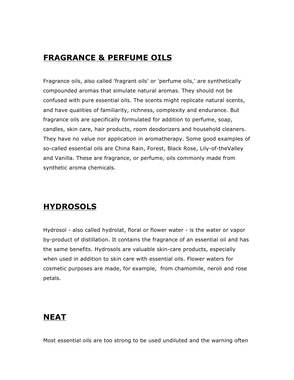## **FRAGRANCE & PERFUME OILS**

Fragrance oils, also called 'fragrant oils' or 'perfume oils,' are synthetically compounded aromas that simulate natural aromas. They should not be confused with pure essential oils. The scents might replicate natural scents, and have qualities of familiarity, richness, complexity and endurance. But fragrance oils are specifically formulated for addition to perfume, soap, candles, skin care, hair products, room deodorizers and household cleaners. They have no value nor application in aromatherapy. Some good examples of so-called essential oils are China Rain, Forest, Black Rose, Lily-of-theValley and Vanilla. These are fragrance, or perfume, oils commonly made from synthetic aroma chemicals.

## **HYDROSOLS**

Hydrosol - also called hydrolat, floral or flower water - is the water or vapor by-product of distillation. It contains the fragrance of an essential oil and has the same benefits. Hydrosols are valuable skin-care products, especially when used in addition to skin care with essential oils. Flower waters for cosmetic purposes are made, for example, from chamomile, neroli and rose petals.

## **NEAT**

Most essential oils are too strong to be used undiluted and the warning often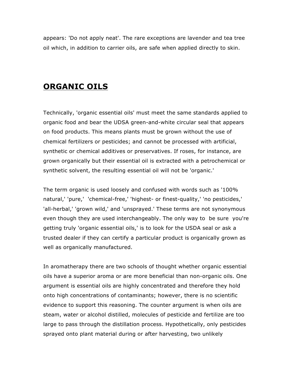appears: 'Do not apply neat'. The rare exceptions are lavender and tea tree oil which, in addition to carrier oils, are safe when applied directly to skin.

### **ORGANIC OILS**

Technically, 'organic essential oils' must meet the same standards applied to organic food and bear the UDSA green-and-white circular seal that appears on food products. This means plants must be grown without the use of chemical fertilizers or pesticides; and cannot be processed with artificial, synthetic or chemical additives or preservatives. If roses, for instance, are grown organically but their essential oil is extracted with a petrochemical or synthetic solvent, the resulting essential oil will not be 'organic.'

The term organic is used loosely and confused with words such as '100% natural,' 'pure,' 'chemical-free,' 'highest- or finest-quality,' 'no pesticides,' 'all-herbal,' 'grown wild,' and 'unsprayed.' These terms are not synonymous even though they are used interchangeably. The only way to be sure you're getting truly 'organic essential oils,' is to look for the USDA seal or ask a trusted dealer if they can certify a particular product is organically grown as well as organically manufactured.

In aromatherapy there are two schools of thought whether organic essential oils have a superior aroma or are more beneficial than non-organic oils. One argument is essential oils are highly concentrated and therefore they hold onto high concentrations of contaminants; however, there is no scientific evidence to support this reasoning. The counter argument is when oils are steam, water or alcohol distilled, molecules of pesticide and fertilize are too large to pass through the distillation process. Hypothetically, only pesticides sprayed onto plant material during or after harvesting, two unlikely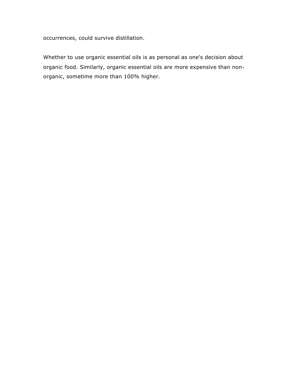occurrences, could survive distillation.

Whether to use organic essential oils is as personal as one's decision about organic food. Similarly, organic essential oils are more expensive than nonorganic, sometime more than 100% higher.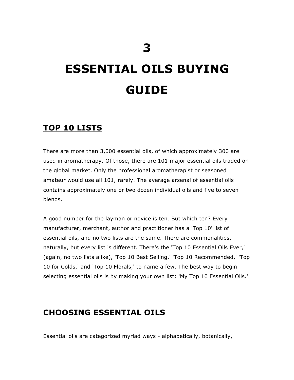# **ESSENTIAL OILS BUYING GUIDE**

## **TOP 10 LISTS**

There are more than 3,000 essential oils, of which approximately 300 are used in aromatherapy. Of those, there are 101 major essential oils traded on the global market. Only the professional aromatherapist or seasoned amateur would use all 101, rarely. The average arsenal of essential oils contains approximately one or two dozen individual oils and five to seven blends.

A good number for the layman or novice is ten. But which ten? Every manufacturer, merchant, author and practitioner has a 'Top 10' list of essential oils, and no two lists are the same. There are commonalities, naturally, but every list is different. There's the 'Top 10 Essential Oils Ever,' (again, no two lists alike), 'Top 10 Best Selling,' 'Top 10 Recommended,' 'Top 10 for Colds,' and 'Top 10 Florals,' to name a few. The best way to begin selecting essential oils is by making your own list: 'My Top 10 Essential Oils.'

## **CHOOSING ESSENTIAL OILS**

Essential oils are categorized myriad ways - alphabetically, botanically,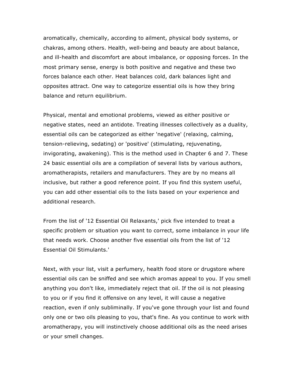aromatically, chemically, according to ailment, physical body systems, or chakras, among others. Health, well-being and beauty are about balance, and ill-health and discomfort are about imbalance, or opposing forces. In the most primary sense, energy is both positive and negative and these two forces balance each other. Heat balances cold, dark balances light and opposites attract. One way to categorize essential oils is how they bring balance and return equilibrium.

Physical, mental and emotional problems, viewed as either positive or negative states, need an antidote. Treating illnesses collectively as a duality, essential oils can be categorized as either 'negative' (relaxing, calming, tension-relieving, sedating) or 'positive' (stimulating, rejuvenating, invigorating, awakening). This is the method used in Chapter 6 and 7. These 24 basic essential oils are a compilation of several lists by various authors, aromatherapists, retailers and manufacturers. They are by no means all inclusive, but rather a good reference point. If you find this system useful, you can add other essential oils to the lists based on your experience and additional research.

From the list of '12 Essential Oil Relaxants,' pick five intended to treat a specific problem or situation you want to correct, some imbalance in your life that needs work. Choose another five essential oils from the list of '12 Essential Oil Stimulants.'

Next, with your list, visit a perfumery, health food store or drugstore where essential oils can be sniffed and see which aromas appeal to you. If you smell anything you don't like, immediately reject that oil. If the oil is not pleasing to you or if you find it offensive on any level, it will cause a negative reaction, even if only subliminally. If you've gone through your list and found only one or two oils pleasing to you, that's fine. As you continue to work with aromatherapy, you will instinctively choose additional oils as the need arises or your smell changes.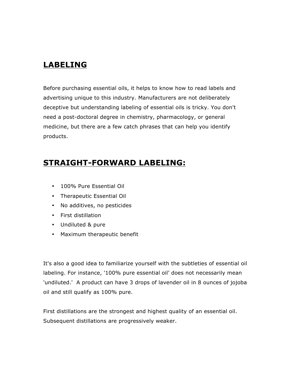## **LABELING**

Before purchasing essential oils, it helps to know how to read labels and advertising unique to this industry. Manufacturers are not deliberately deceptive but understanding labeling of essential oils is tricky. You don't need a post-doctoral degree in chemistry, pharmacology, or general medicine, but there are a few catch phrases that can help you identify products.

## **STRAIGHT-FORWARD LABELING:**

- 100% Pure Essential Oil
- Therapeutic Essential Oil
- No additives, no pesticides
- First distillation
- Undiluted & pure
- Maximum therapeutic benefit

It's also a good idea to familiarize yourself with the subtleties of essential oil labeling. For instance, '100% pure essential oil' does not necessarily mean 'undiluted.' A product can have 3 drops of lavender oil in 8 ounces of jojoba oil and still qualify as 100% pure.

First distillations are the strongest and highest quality of an essential oil. Subsequent distillations are progressively weaker.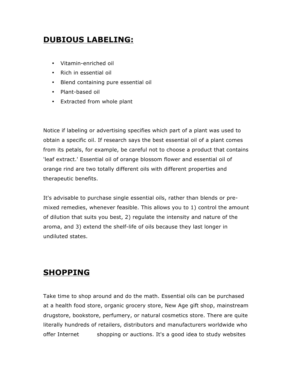## **DUBIOUS LABELING:**

- Vitamin-enriched oil
- Rich in essential oil
- Blend containing pure essential oil
- Plant-based oil
- Extracted from whole plant

Notice if labeling or advertising specifies which part of a plant was used to obtain a specific oil. If research says the best essential oil of a plant comes from its petals, for example, be careful not to choose a product that contains 'leaf extract.' Essential oil of orange blossom flower and essential oil of orange rind are two totally different oils with different properties and therapeutic benefits.

It's advisable to purchase single essential oils, rather than blends or premixed remedies, whenever feasible. This allows you to 1) control the amount of dilution that suits you best, 2) regulate the intensity and nature of the aroma, and 3) extend the shelf-life of oils because they last longer in undiluted states.

## **SHOPPING**

Take time to shop around and do the math. Essential oils can be purchased at a health food store, organic grocery store, New Age gift shop, mainstream drugstore, bookstore, perfumery, or natural cosmetics store. There are quite literally hundreds of retailers, distributors and manufacturers worldwide who offer Internet shopping or auctions. It's a good idea to study websites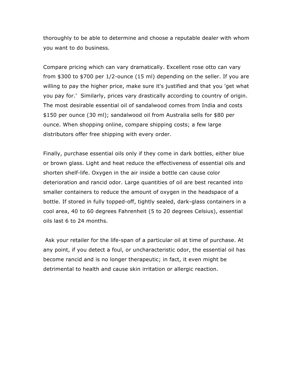thoroughly to be able to determine and choose a reputable dealer with whom you want to do business.

Compare pricing which can vary dramatically. Excellent rose otto can vary from \$300 to \$700 per 1/2-ounce (15 ml) depending on the seller. If you are willing to pay the higher price, make sure it's justified and that you 'get what you pay for.' Similarly, prices vary drastically according to country of origin. The most desirable essential oil of sandalwood comes from India and costs \$150 per ounce (30 ml); sandalwood oil from Australia sells for \$80 per ounce. When shopping online, compare shipping costs; a few large distributors offer free shipping with every order.

Finally, purchase essential oils only if they come in dark bottles, either blue or brown glass. Light and heat reduce the effectiveness of essential oils and shorten shelf-life. Oxygen in the air inside a bottle can cause color deterioration and rancid odor. Large quantities of oil are best recanted into smaller containers to reduce the amount of oxygen in the headspace of a bottle. If stored in fully topped-off, tightly sealed, dark-glass containers in a cool area, 40 to 60 degrees Fahrenheit (5 to 20 degrees Celsius), essential oils last 6 to 24 months.

Ask your retailer for the life-span of a particular oil at time of purchase. At any point, if you detect a foul, or uncharacteristic odor, the essential oil has become rancid and is no longer therapeutic; in fact, it even might be detrimental to health and cause skin irritation or allergic reaction.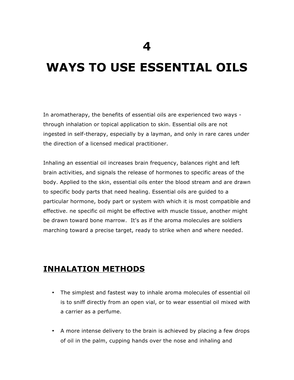## **WAYS TO USE ESSENTIAL OILS**

In aromatherapy, the benefits of essential oils are experienced two ways through inhalation or topical application to skin. Essential oils are not ingested in self-therapy, especially by a layman, and only in rare cares under the direction of a licensed medical practitioner.

Inhaling an essential oil increases brain frequency, balances right and left brain activities, and signals the release of hormones to specific areas of the body. Applied to the skin, essential oils enter the blood stream and are drawn to specific body parts that need healing. Essential oils are guided to a particular hormone, body part or system with which it is most compatible and effective. ne specific oil might be effective with muscle tissue, another might be drawn toward bone marrow. It's as if the aroma molecules are soldiers marching toward a precise target, ready to strike when and where needed.

## **INHALATION METHODS**

- The simplest and fastest way to inhale aroma molecules of essential oil is to sniff directly from an open vial, or to wear essential oil mixed with a carrier as a perfume.
- A more intense delivery to the brain is achieved by placing a few drops of oil in the palm, cupping hands over the nose and inhaling and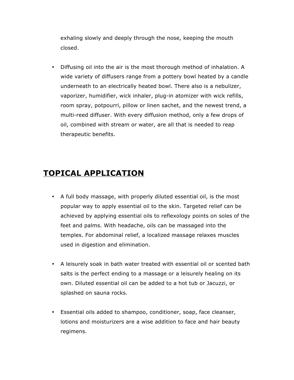exhaling slowly and deeply through the nose, keeping the mouth closed.

• Diffusing oil into the air is the most thorough method of inhalation. A wide variety of diffusers range from a pottery bowl heated by a candle underneath to an electrically heated bowl. There also is a nebulizer, vaporizer, humidifier, wick inhaler, plug-in atomizer with wick refills, room spray, potpourri, pillow or linen sachet, and the newest trend, a multi-reed diffuser. With every diffusion method, only a few drops of oil, combined with stream or water, are all that is needed to reap therapeutic benefits.

## **TOPICAL APPLICATION**

- A full body massage, with properly diluted essential oil, is the most popular way to apply essential oil to the skin. Targeted relief can be achieved by applying essential oils to reflexology points on soles of the feet and palms. With headache, oils can be massaged into the temples. For abdominal relief, a localized massage relaxes muscles used in digestion and elimination.
- A leisurely soak in bath water treated with essential oil or scented bath salts is the perfect ending to a massage or a leisurely healing on its own. Diluted essential oil can be added to a hot tub or Jacuzzi, or splashed on sauna rocks.
- Essential oils added to shampoo, conditioner, soap, face cleanser, lotions and moisturizers are a wise addition to face and hair beauty regimens.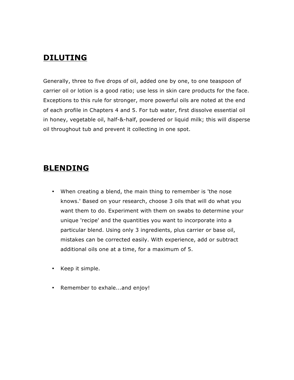## **DILUTING**

Generally, three to five drops of oil, added one by one, to one teaspoon of carrier oil or lotion is a good ratio; use less in skin care products for the face. Exceptions to this rule for stronger, more powerful oils are noted at the end of each profile in Chapters 4 and 5. For tub water, first dissolve essential oil in honey, vegetable oil, half-&-half, powdered or liquid milk; this will disperse oil throughout tub and prevent it collecting in one spot.

## **BLENDING**

- When creating a blend, the main thing to remember is 'the nose knows.' Based on your research, choose 3 oils that will do what you want them to do. Experiment with them on swabs to determine your unique 'recipe' and the quantities you want to incorporate into a particular blend. Using only 3 ingredients, plus carrier or base oil, mistakes can be corrected easily. With experience, add or subtract additional oils one at a time, for a maximum of 5.
- Keep it simple.
- Remember to exhale...and enjoy!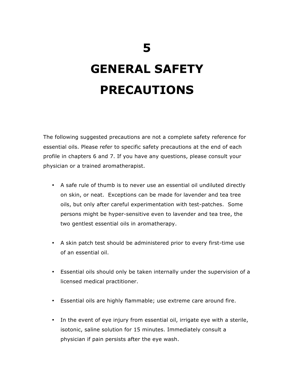# **GENERAL SAFETY PRECAUTIONS**

The following suggested precautions are not a complete safety reference for essential oils. Please refer to specific safety precautions at the end of each profile in chapters 6 and 7. If you have any questions, please consult your physician or a trained aromatherapist.

- A safe rule of thumb is to never use an essential oil undiluted directly on skin, or neat. Exceptions can be made for lavender and tea tree oils, but only after careful experimentation with test-patches. Some persons might be hyper-sensitive even to lavender and tea tree, the two gentlest essential oils in aromatherapy.
- A skin patch test should be administered prior to every first-time use of an essential oil.
- Essential oils should only be taken internally under the supervision of a licensed medical practitioner.
- Essential oils are highly flammable; use extreme care around fire.
- In the event of eye injury from essential oil, irrigate eye with a sterile, isotonic, saline solution for 15 minutes. Immediately consult a physician if pain persists after the eye wash.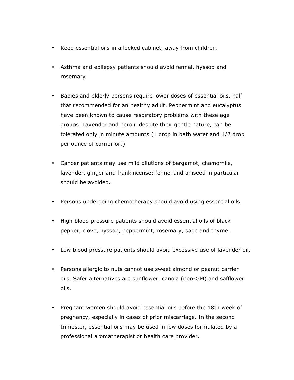- Keep essential oils in a locked cabinet, away from children.
- Asthma and epilepsy patients should avoid fennel, hyssop and rosemary.
- Babies and elderly persons require lower doses of essential oils, half that recommended for an healthy adult. Peppermint and eucalyptus have been known to cause respiratory problems with these age groups. Lavender and neroli, despite their gentle nature, can be tolerated only in minute amounts (1 drop in bath water and 1/2 drop per ounce of carrier oil.)
- Cancer patients may use mild dilutions of bergamot, chamomile, lavender, ginger and frankincense; fennel and aniseed in particular should be avoided.
- Persons undergoing chemotherapy should avoid using essential oils.
- High blood pressure patients should avoid essential oils of black pepper, clove, hyssop, peppermint, rosemary, sage and thyme.
- Low blood pressure patients should avoid excessive use of lavender oil.
- Persons allergic to nuts cannot use sweet almond or peanut carrier oils. Safer alternatives are sunflower, canola (non-GM) and safflower oils.
- Pregnant women should avoid essential oils before the 18th week of pregnancy, especially in cases of prior miscarriage. In the second trimester, essential oils may be used in low doses formulated by a professional aromatherapist or health care provider.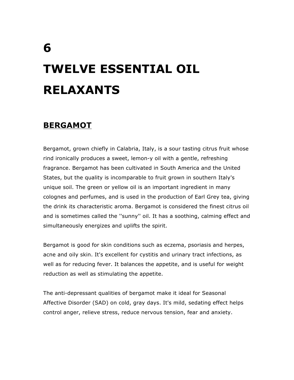# **TWELVE ESSENTIAL OIL RELAXANTS**

## **BERGAMOT**

Bergamot, grown chiefly in Calabria, Italy, is a sour tasting citrus fruit whose rind ironically produces a sweet, lemon-y oil with a gentle, refreshing fragrance. Bergamot has been cultivated in South America and the United States, but the quality is incomparable to fruit grown in southern Italy's unique soil. The green or yellow oil is an important ingredient in many colognes and perfumes, and is used in the production of Earl Grey tea, giving the drink its characteristic aroma. Bergamot is considered the finest citrus oil and is sometimes called the ''sunny'' oil. It has a soothing, calming effect and simultaneously energizes and uplifts the spirit.

Bergamot is good for skin conditions such as eczema, psoriasis and herpes, acne and oily skin. It's excellent for cystitis and urinary tract infections, as well as for reducing fever. It balances the appetite, and is useful for weight reduction as well as stimulating the appetite.

The anti-depressant qualities of bergamot make it ideal for Seasonal Affective Disorder (SAD) on cold, gray days. It's mild, sedating effect helps control anger, relieve stress, reduce nervous tension, fear and anxiety.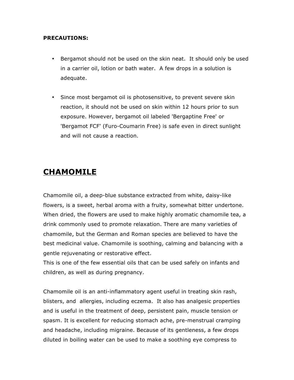#### **PRECAUTIONS:**

- Bergamot should not be used on the skin neat. It should only be used in a carrier oil, lotion or bath water. A few drops in a solution is adequate.
- Since most bergamot oil is photosensitive, to prevent severe skin reaction, it should not be used on skin within 12 hours prior to sun exposure. However, bergamot oil labeled 'Bergaptine Free' or 'Bergamot FCF' (Furo-Coumarin Free) is safe even in direct sunlight and will not cause a reaction.

## **CHAMOMILE**

Chamomile oil, a deep-blue substance extracted from white, daisy-like flowers, is a sweet, herbal aroma with a fruity, somewhat bitter undertone. When dried, the flowers are used to make highly aromatic chamomile tea, a drink commonly used to promote relaxation. There are many varieties of chamomile, but the German and Roman species are believed to have the best medicinal value. Chamomile is soothing, calming and balancing with a gentle rejuvenating or restorative effect.

This is one of the few essential oils that can be used safely on infants and children, as well as during pregnancy.

Chamomile oil is an anti-inflammatory agent useful in treating skin rash, blisters, and allergies, including eczema. It also has analgesic properties and is useful in the treatment of deep, persistent pain, muscle tension or spasm. It is excellent for reducing stomach ache, pre-menstrual cramping and headache, including migraine. Because of its gentleness, a few drops diluted in boiling water can be used to make a soothing eye compress to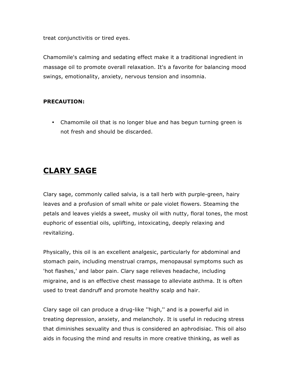treat conjunctivitis or tired eyes.

Chamomile's calming and sedating effect make it a traditional ingredient in massage oil to promote overall relaxation. It's a favorite for balancing mood swings, emotionality, anxiety, nervous tension and insomnia.

#### **PRECAUTION:**

• Chamomile oil that is no longer blue and has begun turning green is not fresh and should be discarded.

## **CLARY SAGE**

Clary sage, commonly called salvia, is a tall herb with purple-green, hairy leaves and a profusion of small white or pale violet flowers. Steaming the petals and leaves yields a sweet, musky oil with nutty, floral tones, the most euphoric of essential oils, uplifting, intoxicating, deeply relaxing and revitalizing.

Physically, this oil is an excellent analgesic, particularly for abdominal and stomach pain, including menstrual cramps, menopausal symptoms such as 'hot flashes,' and labor pain. Clary sage relieves headache, including migraine, and is an effective chest massage to alleviate asthma. It is often used to treat dandruff and promote healthy scalp and hair.

Clary sage oil can produce a drug-like ''high,'' and is a powerful aid in treating depression, anxiety, and melancholy. It is useful in reducing stress that diminishes sexuality and thus is considered an aphrodisiac. This oil also aids in focusing the mind and results in more creative thinking, as well as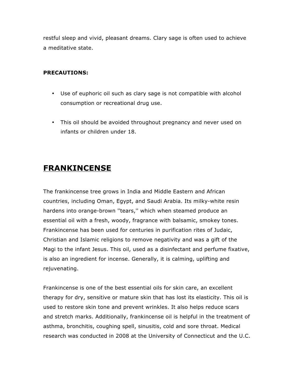restful sleep and vivid, pleasant dreams. Clary sage is often used to achieve a meditative state.

#### **PRECAUTIONS:**

- Use of euphoric oil such as clary sage is not compatible with alcohol consumption or recreational drug use.
- This oil should be avoided throughout pregnancy and never used on infants or children under 18.

## **FRANKINCENSE**

The frankincense tree grows in India and Middle Eastern and African countries, including Oman, Egypt, and Saudi Arabia. Its milky-white resin hardens into orange-brown ''tears,'' which when steamed produce an essential oil with a fresh, woody, fragrance with balsamic, smokey tones. Frankincense has been used for centuries in purification rites of Judaic, Christian and Islamic religions to remove negativity and was a gift of the Magi to the infant Jesus. This oil, used as a disinfectant and perfume fixative, is also an ingredient for incense. Generally, it is calming, uplifting and rejuvenating.

Frankincense is one of the best essential oils for skin care, an excellent therapy for dry, sensitive or mature skin that has lost its elasticity. This oil is used to restore skin tone and prevent wrinkles. It also helps reduce scars and stretch marks. Additionally, frankincense oil is helpful in the treatment of asthma, bronchitis, coughing spell, sinusitis, cold and sore throat. Medical research was conducted in 2008 at the University of Connecticut and the U.C.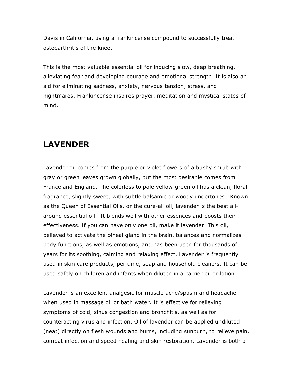Davis in California, using a frankincense compound to successfully treat osteoarthritis of the knee.

This is the most valuable essential oil for inducing slow, deep breathing, alleviating fear and developing courage and emotional strength. It is also an aid for eliminating sadness, anxiety, nervous tension, stress, and nightmares. Frankincense inspires prayer, meditation and mystical states of mind.

## **LAVENDER**

Lavender oil comes from the purple or violet flowers of a bushy shrub with gray or green leaves grown globally, but the most desirable comes from France and England. The colorless to pale yellow-green oil has a clean, floral fragrance, slightly sweet, with subtle balsamic or woody undertones. Known as the Queen of Essential Oils, or the cure-all oil, lavender is the best allaround essential oil. It blends well with other essences and boosts their effectiveness. If you can have only one oil, make it lavender. This oil, believed to activate the pineal gland in the brain, balances and normalizes body functions, as well as emotions, and has been used for thousands of years for its soothing, calming and relaxing effect. Lavender is frequently used in skin care products, perfume, soap and household cleaners. It can be used safely on children and infants when diluted in a carrier oil or lotion.

Lavender is an excellent analgesic for muscle ache/spasm and headache when used in massage oil or bath water. It is effective for relieving symptoms of cold, sinus congestion and bronchitis, as well as for counteracting virus and infection. Oil of lavender can be applied undiluted (neat) directly on flesh wounds and burns, including sunburn, to relieve pain, combat infection and speed healing and skin restoration. Lavender is both a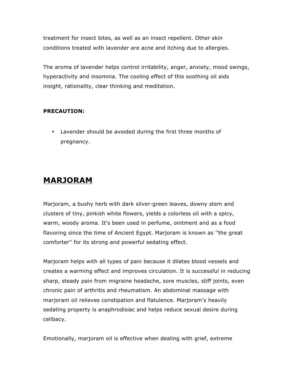treatment for insect bites, as well as an insect repellent. Other skin conditions treated with lavender are acne and itching due to allergies.

The aroma of lavender helps control irritability, anger, anxiety, mood swings, hyperactivity and insomnia. The cooling effect of this soothing oil aids insight, rationality, clear thinking and meditation.

#### **PRECAUTION:**

• Lavender should be avoided during the first three months of pregnancy.

## **MARJORAM**

Marjoram, a bushy herb with dark silver-green leaves, downy stem and clusters of tiny, pinkish white flowers, yields a colorless oil with a spicy, warm, woody aroma. It's been used in perfume, ointment and as a food flavoring since the time of Ancient Egypt. Marjoram is known as ''the great comforter'' for its strong and powerful sedating effect.

Marjoram helps with all types of pain because it dilates blood vessels and creates a warming effect and improves circulation. It is successful in reducing sharp, steady pain from migraine headache, sore muscles, stiff joints, even chronic pain of arthritis and rheumatism. An abdominal massage with marjoram oil relieves constipation and flatulence. Marjoram's heavily sedating property is anaphrodisiac and helps reduce sexual desire during celibacy.

Emotionally, marjoram oil is effective when dealing with grief, extreme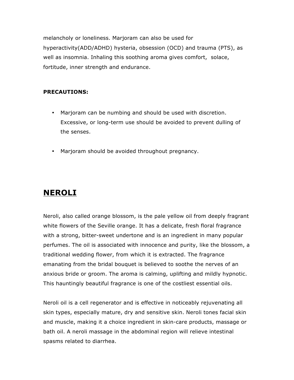melancholy or loneliness. Marjoram can also be used for hyperactivity(ADD/ADHD) hysteria, obsession (OCD) and trauma (PTS), as well as insomnia. Inhaling this soothing aroma gives comfort, solace, fortitude, inner strength and endurance.

#### **PRECAUTIONS:**

- Marjoram can be numbing and should be used with discretion. Excessive, or long-term use should be avoided to prevent dulling of the senses.
- Marjoram should be avoided throughout pregnancy.

## **NEROLI**

Neroli, also called orange blossom, is the pale yellow oil from deeply fragrant white flowers of the Seville orange. It has a delicate, fresh floral fragrance with a strong, bitter-sweet undertone and is an ingredient in many popular perfumes. The oil is associated with innocence and purity, like the blossom, a traditional wedding flower, from which it is extracted. The fragrance emanating from the bridal bouquet is believed to soothe the nerves of an anxious bride or groom. The aroma is calming, uplifting and mildly hypnotic. This hauntingly beautiful fragrance is one of the costliest essential oils.

Neroli oil is a cell regenerator and is effective in noticeably rejuvenating all skin types, especially mature, dry and sensitive skin. Neroli tones facial skin and muscle, making it a choice ingredient in skin-care products, massage or bath oil. A neroli massage in the abdominal region will relieve intestinal spasms related to diarrhea.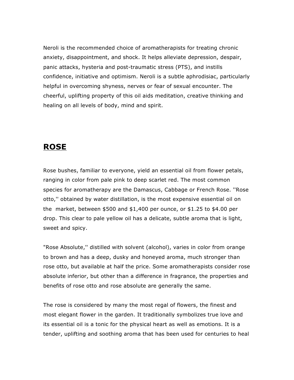Neroli is the recommended choice of aromatherapists for treating chronic anxiety, disappointment, and shock. It helps alleviate depression, despair, panic attacks, hysteria and post-traumatic stress (PTS), and instills confidence, initiative and optimism. Neroli is a subtle aphrodisiac, particularly helpful in overcoming shyness, nerves or fear of sexual encounter. The cheerful, uplifting property of this oil aids meditation, creative thinking and healing on all levels of body, mind and spirit.

## **ROSE**

Rose bushes, familiar to everyone, yield an essential oil from flower petals, ranging in color from pale pink to deep scarlet red. The most common species for aromatherapy are the Damascus, Cabbage or French Rose. ''Rose otto,'' obtained by water distillation, is the most expensive essential oil on the market, between  $$500$  and  $$1,400$  per ounce, or  $$1.25$  to  $$4.00$  per drop. This clear to pale yellow oil has a delicate, subtle aroma that is light, sweet and spicy.

"Rose Absolute,'' distilled with solvent (alcohol), varies in color from orange to brown and has a deep, dusky and honeyed aroma, much stronger than rose otto, but available at half the price. Some aromatherapists consider rose absolute inferior, but other than a difference in fragrance, the properties and benefits of rose otto and rose absolute are generally the same.

The rose is considered by many the most regal of flowers, the finest and most elegant flower in the garden. It traditionally symbolizes true love and its essential oil is a tonic for the physical heart as well as emotions. It is a tender, uplifting and soothing aroma that has been used for centuries to heal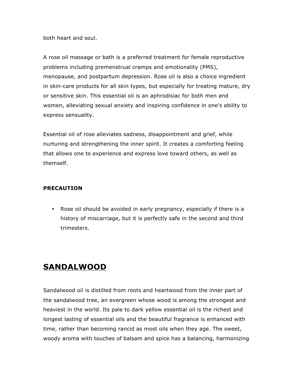both heart and soul.

A rose oil massage or bath is a preferred treatment for female reproductive problems including premenstrual cramps and emotionality (PMS), menopause, and postpartum depression. Rose oil is also a choice ingredient in skin-care products for all skin types, but especially for treating mature, dry or sensitive skin. This essential oil is an aphrodisiac for both men and women, alleviating sexual anxiety and inspiring confidence in one's ability to express sensuality.

Essential oil of rose alleviates sadness, disappointment and grief, while nurturing and strengthening the inner spirit. It creates a comforting feeling that allows one to experience and express love toward others, as well as themself.

#### **PRECAUTION**

• Rose oil should be avoided in early pregnancy, especially if there is a history of miscarriage, but it is perfectly safe in the second and third trimesters.

## **SANDALWOOD**

Sandalwood oil is distilled from roots and heartwood from the inner part of the sandalwood tree, an evergreen whose wood is among the strongest and heaviest in the world. Its pale to dark yellow essential oil is the richest and longest lasting of essential oils and the beautiful fragrance is enhanced with time, rather than becoming rancid as most oils when they age. The sweet, woody aroma with touches of balsam and spice has a balancing, harmonizing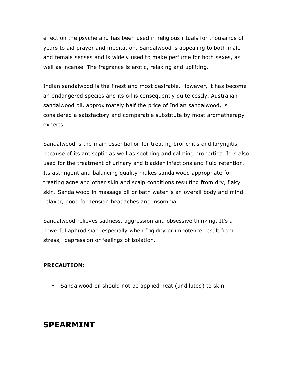effect on the psyche and has been used in religious rituals for thousands of years to aid prayer and meditation. Sandalwood is appealing to both male and female senses and is widely used to make perfume for both sexes, as well as incense. The fragrance is erotic, relaxing and uplifting.

Indian sandalwood is the finest and most desirable. However, it has become an endangered species and its oil is consequently quite costly. Australian sandalwood oil, approximately half the price of Indian sandalwood, is considered a satisfactory and comparable substitute by most aromatherapy experts.

Sandalwood is the main essential oil for treating bronchitis and laryngitis, because of its antiseptic as well as soothing and calming properties. It is also used for the treatment of urinary and bladder infections and fluid retention. Its astringent and balancing quality makes sandalwood appropriate for treating acne and other skin and scalp conditions resulting from dry, flaky skin. Sandalwood in massage oil or bath water is an overall body and mind relaxer, good for tension headaches and insomnia.

Sandalwood relieves sadness, aggression and obsessive thinking. It's a powerful aphrodisiac, especially when frigidity or impotence result from stress, depression or feelings of isolation.

#### **PRECAUTION:**

• Sandalwood oil should not be applied neat (undiluted) to skin.

## **SPEARMINT**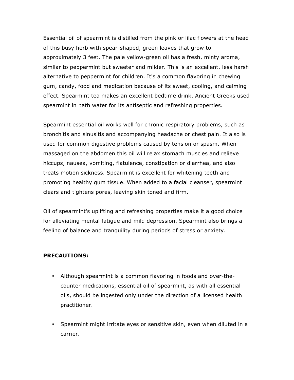Essential oil of spearmint is distilled from the pink or lilac flowers at the head of this busy herb with spear-shaped, green leaves that grow to approximately 3 feet. The pale yellow-green oil has a fresh, minty aroma, similar to peppermint but sweeter and milder. This is an excellent, less harsh alternative to peppermint for children. It's a common flavoring in chewing gum, candy, food and medication because of its sweet, cooling, and calming effect. Spearmint tea makes an excellent bedtime drink. Ancient Greeks used spearmint in bath water for its antiseptic and refreshing properties.

Spearmint essential oil works well for chronic respiratory problems, such as bronchitis and sinusitis and accompanying headache or chest pain. It also is used for common digestive problems caused by tension or spasm. When massaged on the abdomen this oil will relax stomach muscles and relieve hiccups, nausea, vomiting, flatulence, constipation or diarrhea, and also treats motion sickness. Spearmint is excellent for whitening teeth and promoting healthy gum tissue. When added to a facial cleanser, spearmint clears and tightens pores, leaving skin toned and firm.

Oil of spearmint's uplifting and refreshing properties make it a good choice for alleviating mental fatigue and mild depression. Spearmint also brings a feeling of balance and tranquility during periods of stress or anxiety.

#### **PRECAUTIONS:**

- Although spearmint is a common flavoring in foods and over-thecounter medications, essential oil of spearmint, as with all essential oils, should be ingested only under the direction of a licensed health practitioner.
- Spearmint might irritate eyes or sensitive skin, even when diluted in a carrier.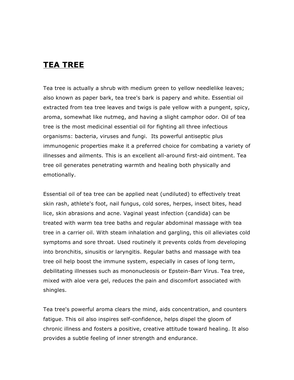## **TEA TREE**

Tea tree is actually a shrub with medium green to yellow needlelike leaves; also known as paper bark, tea tree's bark is papery and white. Essential oil extracted from tea tree leaves and twigs is pale yellow with a pungent, spicy, aroma, somewhat like nutmeg, and having a slight camphor odor. Oil of tea tree is the most medicinal essential oil for fighting all three infectious organisms: bacteria, viruses and fungi. Its powerful antiseptic plus immunogenic properties make it a preferred choice for combating a variety of illnesses and ailments. This is an excellent all-around first-aid ointment. Tea tree oil generates penetrating warmth and healing both physically and emotionally.

Essential oil of tea tree can be applied neat (undiluted) to effectively treat skin rash, athlete's foot, nail fungus, cold sores, herpes, insect bites, head lice, skin abrasions and acne. Vaginal yeast infection (candida) can be treated with warm tea tree baths and regular abdominal massage with tea tree in a carrier oil. With steam inhalation and gargling, this oil alleviates cold symptoms and sore throat. Used routinely it prevents colds from developing into bronchitis, sinusitis or laryngitis. Regular baths and massage with tea tree oil help boost the immune system, especially in cases of long term, debilitating illnesses such as mononucleosis or Epstein-Barr Virus. Tea tree, mixed with aloe vera gel, reduces the pain and discomfort associated with shingles.

Tea tree's powerful aroma clears the mind, aids concentration, and counters fatigue. This oil also inspires self-confidence, helps dispel the gloom of chronic illness and fosters a positive, creative attitude toward healing. It also provides a subtle feeling of inner strength and endurance.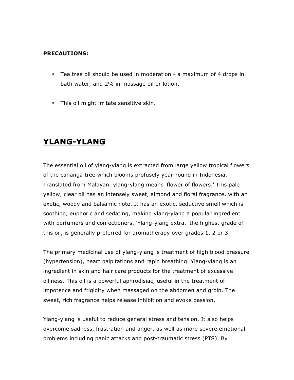#### **PRECAUTIONS:**

- Tea tree oil should be used in moderation a maximum of 4 drops in bath water, and 2% in massage oil or lotion.
- This oil might irritate sensitive skin.

## **YLANG-YLANG**

The essential oil of ylang-ylang is extracted from large yellow tropical flowers of the cananga tree which blooms profusely year-round in Indonesia. Translated from Malayan, ylang-ylang means 'flower of flowers.' This pale yellow, clear oil has an intensely sweet, almond and floral fragrance, with an exotic, woody and balsamic note. It has an exotic, seductive smell which is soothing, euphoric and sedating, making ylang-ylang a popular ingredient with perfumers and confectioners. 'Ylang-ylang extra,' the highest grade of this oil, is generally preferred for aromatherapy over grades 1, 2 or 3.

The primary medicinal use of ylang-ylang is treatment of high blood pressure (hypertension), heart palpitations and rapid breathing. Ylang-ylang is an ingredient in skin and hair care products for the treatment of excessive oiliness. This oil is a powerful aphrodisiac, useful in the treatment of impotence and frigidity when massaged on the abdomen and groin. The sweet, rich fragrance helps release inhibition and evoke passion.

Ylang-ylang is useful to reduce general stress and tension. It also helps overcome sadness, frustration and anger, as well as more severe emotional problems including panic attacks and post-traumatic stress (PTS). By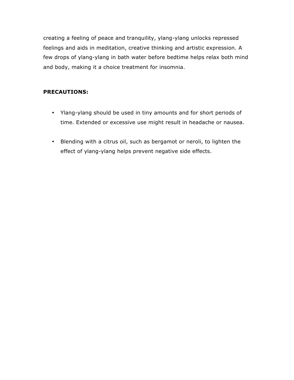creating a feeling of peace and tranquility, ylang-ylang unlocks repressed feelings and aids in meditation, creative thinking and artistic expression. A few drops of ylang-ylang in bath water before bedtime helps relax both mind and body, making it a choice treatment for insomnia.

#### **PRECAUTIONS:**

- Ylang-ylang should be used in tiny amounts and for short periods of time. Extended or excessive use might result in headache or nausea.
- Blending with a citrus oil, such as bergamot or neroli, to lighten the effect of ylang-ylang helps prevent negative side effects.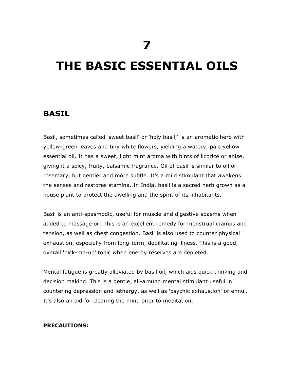## **THE BASIC ESSENTIAL OILS**

### **BASIL**

Basil, sometimes called 'sweet basil' or 'holy basil,' is an aromatic herb with yellow-green leaves and tiny white flowers, yielding a watery, pale yellow essential oil. It has a sweet, light mint aroma with hints of licorice or anise, giving it a spicy, fruity, balsamic fragrance. Oil of basil is similar to oil of rosemary, but gentler and more subtle. It's a mild stimulant that awakens the senses and restores stamina. In India, basil is a sacred herb grown as a house plant to protect the dwelling and the spirit of its inhabitants.

Basil is an anti-spasmodic, useful for muscle and digestive spasms when added to massage oil. This is an excellent remedy for menstrual cramps and tension, as well as chest congestion. Basil is also used to counter physical exhaustion, especially from long-term, debilitating illness. This is a good, overall 'pick-me-up' tonic when energy reserves are depleted.

Mental fatigue is greatly alleviated by basil oil, which aids quick thinking and decision making. This is a gentle, all-around mental stimulant useful in countering depression and lethargy, as well as 'psychic exhaustion' or ennui. It's also an aid for clearing the mind prior to meditation.

#### **PRECAUTIONS:**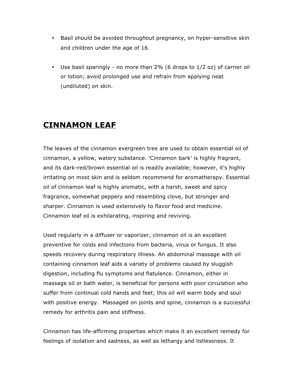- Basil should be avoided throughout pregnancy, on hyper-sensitive skin and children under the age of 16.
- Use basil sparingly no more than 2% (6 drops to 1/2 oz) of carrier oil or lotion; avoid prolonged use and refrain from applying neat (undiluted) on skin.

## **CINNAMON LEAF**

The leaves of the cinnamon evergreen tree are used to obtain essential oil of cinnamon, a yellow, watery substance. 'Cinnamon bark' is highly fragrant, and its dark-red/brown essential oil is readily available; however, it's highly irritating on most skin and is seldom recommend for aromatherapy. Essential oil of cinnamon leaf is highly aromatic, with a harsh, sweet and spicy fragrance, somewhat peppery and resembling clove, but stronger and sharper. Cinnamon is used extensively to flavor food and medicine. Cinnamon leaf oil is exhilarating, inspiring and reviving.

Used regularly in a diffuser or vaporizer, cinnamon oil is an excellent preventive for colds and infections from bacteria, virus or fungus. It also speeds recovery during respiratory illness. An abdominal massage with oil containing cinnamon leaf aids a variety of problems caused by sluggish digestion, including flu symptoms and flatulence. Cinnamon, either in massage oil or bath water, is beneficial for persons with poor circulation who suffer from continual cold hands and feet; this oil will warm body and soul with positive energy. Massaged on joints and spine, cinnamon is a successful remedy for arthritis pain and stiffness.

Cinnamon has life-affirming properties which make it an excellent remedy for feelings of isolation and sadness, as well as lethargy and listlessness. It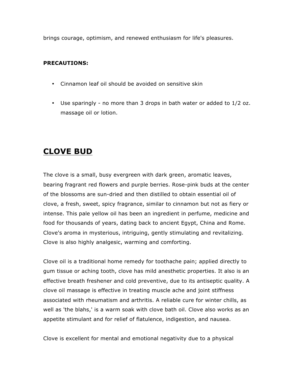brings courage, optimism, and renewed enthusiasm for life's pleasures.

#### **PRECAUTIONS:**

- Cinnamon leaf oil should be avoided on sensitive skin
- Use sparingly no more than 3 drops in bath water or added to 1/2 oz. massage oil or lotion.

## **CLOVE BUD**

The clove is a small, busy evergreen with dark green, aromatic leaves, bearing fragrant red flowers and purple berries. Rose-pink buds at the center of the blossoms are sun-dried and then distilled to obtain essential oil of clove, a fresh, sweet, spicy fragrance, similar to cinnamon but not as fiery or intense. This pale yellow oil has been an ingredient in perfume, medicine and food for thousands of years, dating back to ancient Egypt, China and Rome. Clove's aroma in mysterious, intriguing, gently stimulating and revitalizing. Clove is also highly analgesic, warming and comforting.

Clove oil is a traditional home remedy for toothache pain; applied directly to gum tissue or aching tooth, clove has mild anesthetic properties. It also is an effective breath freshener and cold preventive, due to its antiseptic quality. A clove oil massage is effective in treating muscle ache and joint stiffness associated with rheumatism and arthritis. A reliable cure for winter chills, as well as 'the blahs,' is a warm soak with clove bath oil. Clove also works as an appetite stimulant and for relief of flatulence, indigestion, and nausea.

Clove is excellent for mental and emotional negativity due to a physical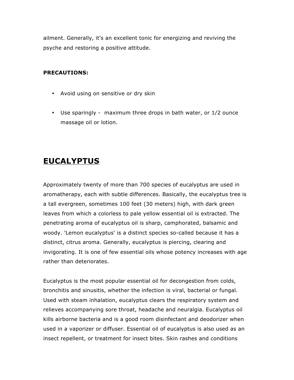ailment. Generally, it's an excellent tonic for energizing and reviving the psyche and restoring a positive attitude.

#### **PRECAUTIONS:**

- Avoid using on sensitive or dry skin
- Use sparingly maximum three drops in bath water, or 1/2 ounce massage oil or lotion.

## **EUCALYPTUS**

Approximately twenty of more than 700 species of eucalyptus are used in aromatherapy, each with subtle differences. Basically, the eucalyptus tree is a tall evergreen, sometimes 100 feet (30 meters) high, with dark green leaves from which a colorless to pale yellow essential oil is extracted. The penetrating aroma of eucalyptus oil is sharp, camphorated, balsamic and woody. 'Lemon eucalyptus' is a distinct species so-called because it has a distinct, citrus aroma. Generally, eucalyptus is piercing, clearing and invigorating. It is one of few essential oils whose potency increases with age rather than deteriorates.

Eucalyptus is the most popular essential oil for decongestion from colds, bronchitis and sinusitis, whether the infection is viral, bacterial or fungal. Used with steam inhalation, eucalyptus clears the respiratory system and relieves accompanying sore throat, headache and neuralgia. Eucalyptus oil kills airborne bacteria and is a good room disinfectant and deodorizer when used in a vaporizer or diffuser. Essential oil of eucalyptus is also used as an insect repellent, or treatment for insect bites. Skin rashes and conditions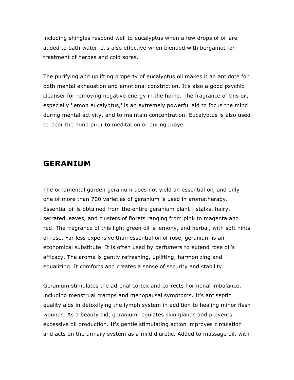including shingles respond well to eucalyptus when a few drops of oil are added to bath water. It's also effective when blended with bergamot for treatment of herpes and cold sores.

The purifying and uplifting property of eucalyptus oil makes it an antidote for both mental exhaustion and emotional constriction. It's also a good psychic cleanser for removing negative energy in the home. The fragrance of this oil, especially 'lemon eucalyptus,' is an extremely powerful aid to focus the mind during mental activity, and to maintain concentration. Eucalyptus is also used to clear the mind prior to meditation or during prayer.

### **GERANIUM**

The ornamental garden geranium does not yield an essential oil, and only one of more than 700 varieties of geranium is used in aromatherapy. Essential oil is obtained from the entire geranium plant - stalks, hairy, serrated leaves, and clusters of florets ranging from pink to magenta and red. The fragrance of this light green oil is lemony, and herbal, with soft hints of rose. Far less expensive than essential oil of rose, geranium is an economical substitute. It is often used by perfumers to extend rose oil's efficacy. The aroma is gently refreshing, uplifting, harmonizing and equalizing. It comforts and creates a sense of security and stability.

Geranium stimulates the adrenal cortex and corrects hormonal imbalance, including menstrual cramps and menopausal symptoms. It's antiseptic quality aids in detoxifying the lymph system in addition to healing minor flesh wounds. As a beauty aid, geranium regulates skin glands and prevents excessive oil production. It's gentle stimulating action improves circulation and acts on the urinary system as a mild diuretic. Added to massage oil, with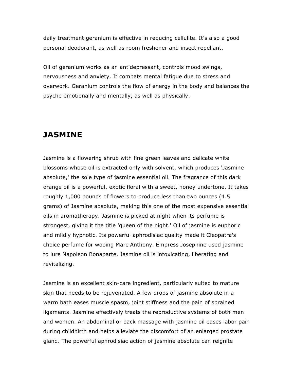daily treatment geranium is effective in reducing cellulite. It's also a good personal deodorant, as well as room freshener and insect repellant.

Oil of geranium works as an antidepressant, controls mood swings, nervousness and anxiety. It combats mental fatigue due to stress and overwork. Geranium controls the flow of energy in the body and balances the psyche emotionally and mentally, as well as physically.

## **JASMINE**

Jasmine is a flowering shrub with fine green leaves and delicate white blossoms whose oil is extracted only with solvent, which produces 'Jasmine absolute,' the sole type of jasmine essential oil. The fragrance of this dark orange oil is a powerful, exotic floral with a sweet, honey undertone. It takes roughly 1,000 pounds of flowers to produce less than two ounces (4.5 grams) of Jasmine absolute, making this one of the most expensive essential oils in aromatherapy. Jasmine is picked at night when its perfume is strongest, giving it the title 'queen of the night.' Oil of jasmine is euphoric and mildly hypnotic. Its powerful aphrodisiac quality made it Cleopatra's choice perfume for wooing Marc Anthony. Empress Josephine used jasmine to lure Napoleon Bonaparte. Jasmine oil is intoxicating, liberating and revitalizing.

Jasmine is an excellent skin-care ingredient, particularly suited to mature skin that needs to be rejuvenated. A few drops of jasmine absolute in a warm bath eases muscle spasm, joint stiffness and the pain of sprained ligaments. Jasmine effectively treats the reproductive systems of both men and women. An abdominal or back massage with jasmine oil eases labor pain during childbirth and helps alleviate the discomfort of an enlarged prostate gland. The powerful aphrodisiac action of jasmine absolute can reignite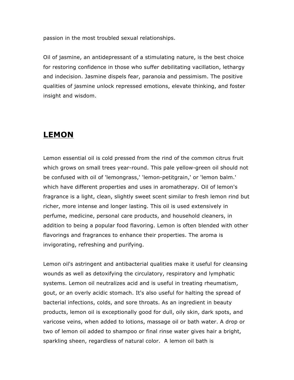passion in the most troubled sexual relationships.

Oil of jasmine, an antidepressant of a stimulating nature, is the best choice for restoring confidence in those who suffer debilitating vacillation, lethargy and indecision. Jasmine dispels fear, paranoia and pessimism. The positive qualities of jasmine unlock repressed emotions, elevate thinking, and foster insight and wisdom.

## **LEMON**

Lemon essential oil is cold pressed from the rind of the common citrus fruit which grows on small trees year-round. This pale yellow-green oil should not be confused with oil of 'lemongrass,' 'lemon-petitgrain,' or 'lemon balm.' which have different properties and uses in aromatherapy. Oil of lemon's fragrance is a light, clean, slightly sweet scent similar to fresh lemon rind but richer, more intense and longer lasting. This oil is used extensively in perfume, medicine, personal care products, and household cleaners, in addition to being a popular food flavoring. Lemon is often blended with other flavorings and fragrances to enhance their properties. The aroma is invigorating, refreshing and purifying.

Lemon oil's astringent and antibacterial qualities make it useful for cleansing wounds as well as detoxifying the circulatory, respiratory and lymphatic systems. Lemon oil neutralizes acid and is useful in treating rheumatism, gout, or an overly acidic stomach. It's also useful for halting the spread of bacterial infections, colds, and sore throats. As an ingredient in beauty products, lemon oil is exceptionally good for dull, oily skin, dark spots, and varicose veins, when added to lotions, massage oil or bath water. A drop or two of lemon oil added to shampoo or final rinse water gives hair a bright, sparkling sheen, regardless of natural color. A lemon oil bath is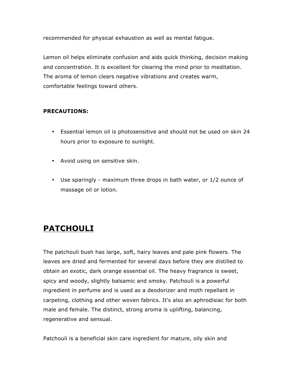recommended for physical exhaustion as well as mental fatigue.

Lemon oil helps eliminate confusion and aids quick thinking, decision making and concentration. It is excellent for clearing the mind prior to meditation. The aroma of lemon clears negative vibrations and creates warm, comfortable feelings toward others.

#### **PRECAUTIONS:**

- Essential lemon oil is photosensitive and should not be used on skin 24 hours prior to exposure to sunlight.
- Avoid using on sensitive skin.
- Use sparingly maximum three drops in bath water, or 1/2 ounce of massage oil or lotion.

## **PATCHOULI**

The patchouli bush has large, soft, hairy leaves and pale pink flowers. The leaves are dried and fermented for several days before they are distilled to obtain an exotic, dark orange essential oil. The heavy fragrance is sweet, spicy and woody, slightly balsamic and smoky. Patchouli is a powerful ingredient in perfume and is used as a deodorizer and moth repellant in carpeting, clothing and other woven fabrics. It's also an aphrodisiac for both male and female. The distinct, strong aroma is uplifting, balancing, regenerative and sensual.

Patchouli is a beneficial skin care ingredient for mature, oily skin and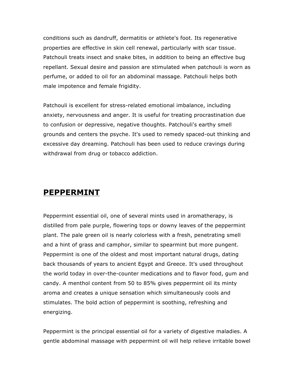conditions such as dandruff, dermatitis or athlete's foot. Its regenerative properties are effective in skin cell renewal, particularly with scar tissue. Patchouli treats insect and snake bites, in addition to being an effective bug repellant. Sexual desire and passion are stimulated when patchouli is worn as perfume, or added to oil for an abdominal massage. Patchouli helps both male impotence and female frigidity.

Patchouli is excellent for stress-related emotional imbalance, including anxiety, nervousness and anger. It is useful for treating procrastination due to confusion or depressive, negative thoughts. Patchouli's earthy smell grounds and centers the psyche. It's used to remedy spaced-out thinking and excessive day dreaming. Patchouli has been used to reduce cravings during withdrawal from drug or tobacco addiction.

## **PEPPERMINT**

Peppermint essential oil, one of several mints used in aromatherapy, is distilled from pale purple, flowering tops or downy leaves of the peppermint plant. The pale green oil is nearly colorless with a fresh, penetrating smell and a hint of grass and camphor, similar to spearmint but more pungent. Peppermint is one of the oldest and most important natural drugs, dating back thousands of years to ancient Egypt and Greece. It's used throughout the world today in over-the-counter medications and to flavor food, gum and candy. A menthol content from 50 to 85% gives peppermint oil its minty aroma and creates a unique sensation which simultaneously cools and stimulates. The bold action of peppermint is soothing, refreshing and energizing.

Peppermint is the principal essential oil for a variety of digestive maladies. A gentle abdominal massage with peppermint oil will help relieve irritable bowel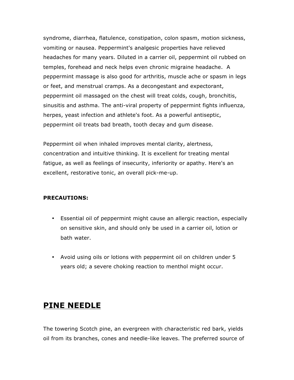syndrome, diarrhea, flatulence, constipation, colon spasm, motion sickness, vomiting or nausea. Peppermint's analgesic properties have relieved headaches for many years. Diluted in a carrier oil, peppermint oil rubbed on temples, forehead and neck helps even chronic migraine headache. A peppermint massage is also good for arthritis, muscle ache or spasm in legs or feet, and menstrual cramps. As a decongestant and expectorant, peppermint oil massaged on the chest will treat colds, cough, bronchitis, sinusitis and asthma. The anti-viral property of peppermint fights influenza, herpes, yeast infection and athlete's foot. As a powerful antiseptic, peppermint oil treats bad breath, tooth decay and gum disease.

Peppermint oil when inhaled improves mental clarity, alertness, concentration and intuitive thinking. It is excellent for treating mental fatigue, as well as feelings of insecurity, inferiority or apathy. Here's an excellent, restorative tonic, an overall pick-me-up.

#### **PRECAUTIONS:**

- Essential oil of peppermint might cause an allergic reaction, especially on sensitive skin, and should only be used in a carrier oil, lotion or bath water.
- Avoid using oils or lotions with peppermint oil on children under 5 years old; a severe choking reaction to menthol might occur.

## **PINE NEEDLE**

The towering Scotch pine, an evergreen with characteristic red bark, yields oil from its branches, cones and needle-like leaves. The preferred source of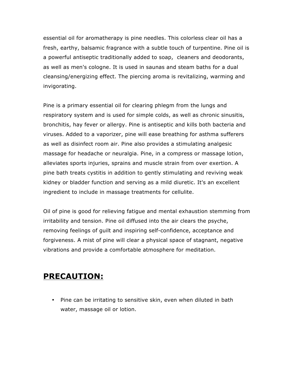essential oil for aromatherapy is pine needles. This colorless clear oil has a fresh, earthy, balsamic fragrance with a subtle touch of turpentine. Pine oil is a powerful antiseptic traditionally added to soap, cleaners and deodorants, as well as men's cologne. It is used in saunas and steam baths for a dual cleansing/energizing effect. The piercing aroma is revitalizing, warming and invigorating.

Pine is a primary essential oil for clearing phlegm from the lungs and respiratory system and is used for simple colds, as well as chronic sinusitis, bronchitis, hay fever or allergy. Pine is antiseptic and kills both bacteria and viruses. Added to a vaporizer, pine will ease breathing for asthma sufferers as well as disinfect room air. Pine also provides a stimulating analgesic massage for headache or neuralgia. Pine, in a compress or massage lotion, alleviates sports injuries, sprains and muscle strain from over exertion. A pine bath treats cystitis in addition to gently stimulating and reviving weak kidney or bladder function and serving as a mild diuretic. It's an excellent ingredient to include in massage treatments for cellulite.

Oil of pine is good for relieving fatigue and mental exhaustion stemming from irritability and tension. Pine oil diffused into the air clears the psyche, removing feelings of guilt and inspiring self-confidence, acceptance and forgiveness. A mist of pine will clear a physical space of stagnant, negative vibrations and provide a comfortable atmosphere for meditation.

## **PRECAUTION:**

• Pine can be irritating to sensitive skin, even when diluted in bath water, massage oil or lotion.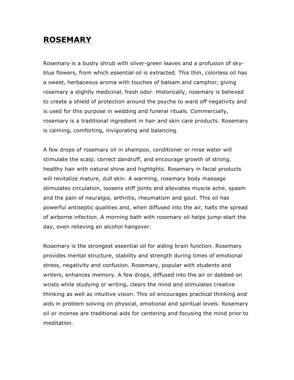## **ROSEMARY**

Rosemary is a bushy shrub with silver-green leaves and a profusion of skyblue flowers, from which essential oil is extracted. This thin, colorless oil has a sweet, herbaceous aroma with touches of balsam and camphor, giving rosemary a slightly medicinal, fresh odor. Historically, rosemary is believed to create a shield of protection around the psyche to ward off negativity and is used for this purpose in wedding and funeral rituals. Commercially, rosemary is a traditional ingredient in hair and skin care products. Rosemary is calming, comforting, invigorating and balancing.

A few drops of rosemary oil in shampoo, conditioner or rinse water will stimulate the scalp, correct dandruff, and encourage growth of strong, healthy hair with natural shine and highlights. Rosemary in facial products will revitalize mature, dull skin. A warming, rosemary body massage stimulates circulation, loosens stiff joints and alleviates muscle ache, spasm and the pain of neuralgia, arthritis, rheumatism and gout. This oil has powerful antiseptic qualities and, when diffused into the air, halts the spread of airborne infection. A morning bath with rosemary oil helps jump-start the day, even relieving an alcohol hangover.

Rosemary is the strongest essential oil for aiding brain function. Rosemary provides mental structure, stability and strength during times of emotional stress, negativity and confusion. Rosemary, popular with students and writers, enhances memory. A few drops, diffused into the air or dabbed on wrists while studying or writing, clears the mind and stimulates creative thinking as well as intuitive vision. This oil encourages practical thinking and aids in problem solving on physical, emotional and spiritual levels. Rosemary oil or incense are traditional aids for centering and focusing the mind prior to meditation.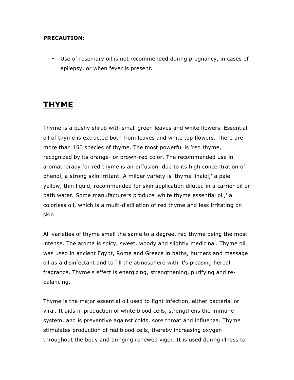#### **PRECAUTION:**

• Use of rosemary oil is not recommended during pregnancy, in cases of epilepsy, or when fever is present.

## **THYME**

Thyme is a bushy shrub with small green leaves and white flowers. Essential oil of thyme is extracted both from leaves and white top flowers. There are more than 150 species of thyme. The most powerful is 'red thyme,' recognized by its orange- or brown-red color. The recommended use in aromatherapy for red thyme is air diffusion, due to its high concentration of phenol, a strong skin irritant. A milder variety is 'thyme linalol,' a pale yellow, thin liquid, recommended for skin application diluted in a carrier oil or bath water. Some manufacturers produce 'white thyme essential oil,' a colorless oil, which is a multi-distillation of red thyme and less irritating on skin.

All varieties of thyme smell the same to a degree, red thyme being the most intense. The aroma is spicy, sweet, woody and slightly medicinal. Thyme oil was used in ancient Egypt, Rome and Greece in baths, burners and massage oil as a disinfectant and to fill the atmosphere with it's pleasing herbal fragrance. Thyme's effect is energizing, strengthening, purifying and rebalancing.

Thyme is the major essential oil used to fight infection, either bacterial or viral. It aids in production of white blood cells, strengthens the immune system, and is preventive against colds, sore throat and influenza. Thyme stimulates production of red blood cells, thereby increasing oxygen throughout the body and bringing renewed vigor. It is used during illness to